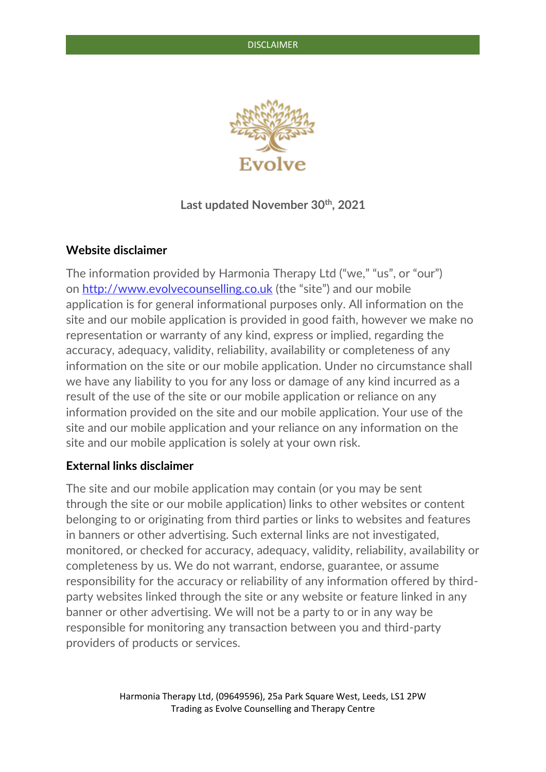

# **Last updated November 30th, 2021**

# **Website disclaimer**

The information provided by Harmonia Therapy Ltd ("we," "us", or "our") on [http://www.evolvecounselling.co.uk](http://www.evolvecounselling.co.uk/) (the "site") and our mobile application is for general informational purposes only. All information on the site and our mobile application is provided in good faith, however we make no representation or warranty of any kind, express or implied, regarding the accuracy, adequacy, validity, reliability, availability or completeness of any information on the site or our mobile application. Under no circumstance shall we have any liability to you for any loss or damage of any kind incurred as a result of the use of the site or our mobile application or reliance on any information provided on the site and our mobile application. Your use of the site and our mobile application and your reliance on any information on the site and our mobile application is solely at your own risk.

## **External links disclaimer**

The site and our mobile application may contain (or you may be sent through the site or our mobile application) links to other websites or content belonging to or originating from third parties or links to websites and features in banners or other advertising. Such external links are not investigated, monitored, or checked for accuracy, adequacy, validity, reliability, availability or completeness by us. We do not warrant, endorse, guarantee, or assume responsibility for the accuracy or reliability of any information offered by thirdparty websites linked through the site or any website or feature linked in any banner or other advertising. We will not be a party to or in any way be responsible for monitoring any transaction between you and third-party providers of products or services.

> Harmonia Therapy Ltd, (09649596), 25a Park Square West, Leeds, LS1 2PW Trading as Evolve Counselling and Therapy Centre